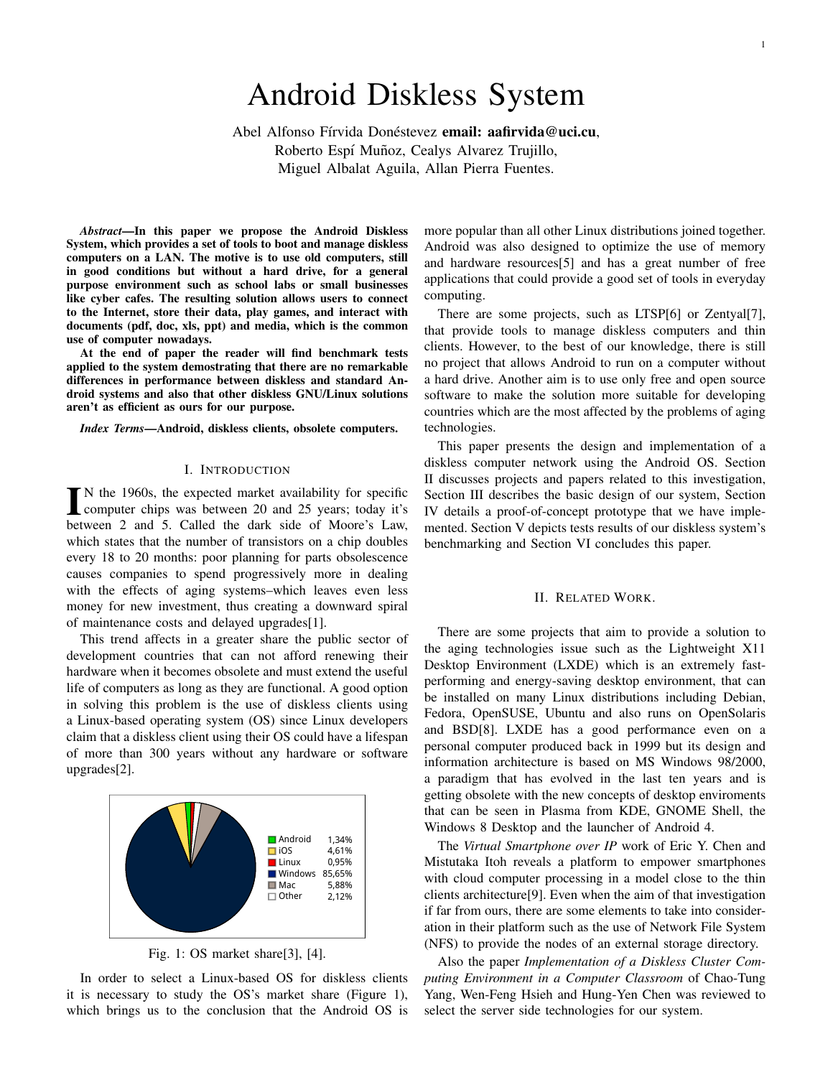# Android Diskless System

Abel Alfonso Fírvida Donéstevez email: aafirvida@uci.cu, Roberto Espí Muñoz, Cealys Alvarez Trujillo, Miguel Albalat Aguila, Allan Pierra Fuentes.

*Abstract*—In this paper we propose the Android Diskless System, which provides a set of tools to boot and manage diskless computers on a LAN. The motive is to use old computers, still in good conditions but without a hard drive, for a general purpose environment such as school labs or small businesses like cyber cafes. The resulting solution allows users to connect to the Internet, store their data, play games, and interact with documents (pdf, doc, xls, ppt) and media, which is the common use of computer nowadays.

At the end of paper the reader will find benchmark tests applied to the system demostrating that there are no remarkable differences in performance between diskless and standard Android systems and also that other diskless GNU/Linux solutions aren't as efficient as ours for our purpose.

*Index Terms*—Android, diskless clients, obsolete computers.

#### I. INTRODUCTION

IN the 1960s, the expected market availability for specific<br>computer chips was between 20 and 25 years; today it's N the 1960s, the expected market availability for specific between 2 and 5. Called the dark side of Moore's Law, which states that the number of transistors on a chip doubles every 18 to 20 months: poor planning for parts obsolescence causes companies to spend progressively more in dealing with the effects of aging systems–which leaves even less money for new investment, thus creating a downward spiral of maintenance costs and delayed upgrades[1].

This trend affects in a greater share the public sector of development countries that can not afford renewing their hardware when it becomes obsolete and must extend the useful life of computers as long as they are functional. A good option in solving this problem is the use of diskless clients using a Linux-based operating system (OS) since Linux developers claim that a diskless client using their OS could have a lifespan of more than 300 years without any hardware or software upgrades[2].



Fig. 1: OS market share[3], [4].

In order to select a Linux-based OS for diskless clients it is necessary to study the OS's market share (Figure 1), which brings us to the conclusion that the Android OS is more popular than all other Linux distributions joined together. Android was also designed to optimize the use of memory and hardware resources[5] and has a great number of free applications that could provide a good set of tools in everyday computing.

There are some projects, such as LTSP[6] or Zentyal[7], that provide tools to manage diskless computers and thin clients. However, to the best of our knowledge, there is still no project that allows Android to run on a computer without a hard drive. Another aim is to use only free and open source software to make the solution more suitable for developing countries which are the most affected by the problems of aging technologies.

This paper presents the design and implementation of a diskless computer network using the Android OS. Section II discusses projects and papers related to this investigation, Section III describes the basic design of our system, Section IV details a proof-of-concept prototype that we have implemented. Section V depicts tests results of our diskless system's benchmarking and Section VI concludes this paper.

# II. RELATED WORK.

There are some projects that aim to provide a solution to the aging technologies issue such as the Lightweight X11 Desktop Environment (LXDE) which is an extremely fastperforming and energy-saving desktop environment, that can be installed on many Linux distributions including Debian, Fedora, OpenSUSE, Ubuntu and also runs on OpenSolaris and BSD[8]. LXDE has a good performance even on a personal computer produced back in 1999 but its design and information architecture is based on MS Windows 98/2000, a paradigm that has evolved in the last ten years and is getting obsolete with the new concepts of desktop enviroments that can be seen in Plasma from KDE, GNOME Shell, the Windows 8 Desktop and the launcher of Android 4.

The *Virtual Smartphone over IP* work of Eric Y. Chen and Mistutaka Itoh reveals a platform to empower smartphones with cloud computer processing in a model close to the thin clients architecture[9]. Even when the aim of that investigation if far from ours, there are some elements to take into consideration in their platform such as the use of Network File System (NFS) to provide the nodes of an external storage directory.

Also the paper *Implementation of a Diskless Cluster Computing Environment in a Computer Classroom* of Chao-Tung Yang, Wen-Feng Hsieh and Hung-Yen Chen was reviewed to select the server side technologies for our system.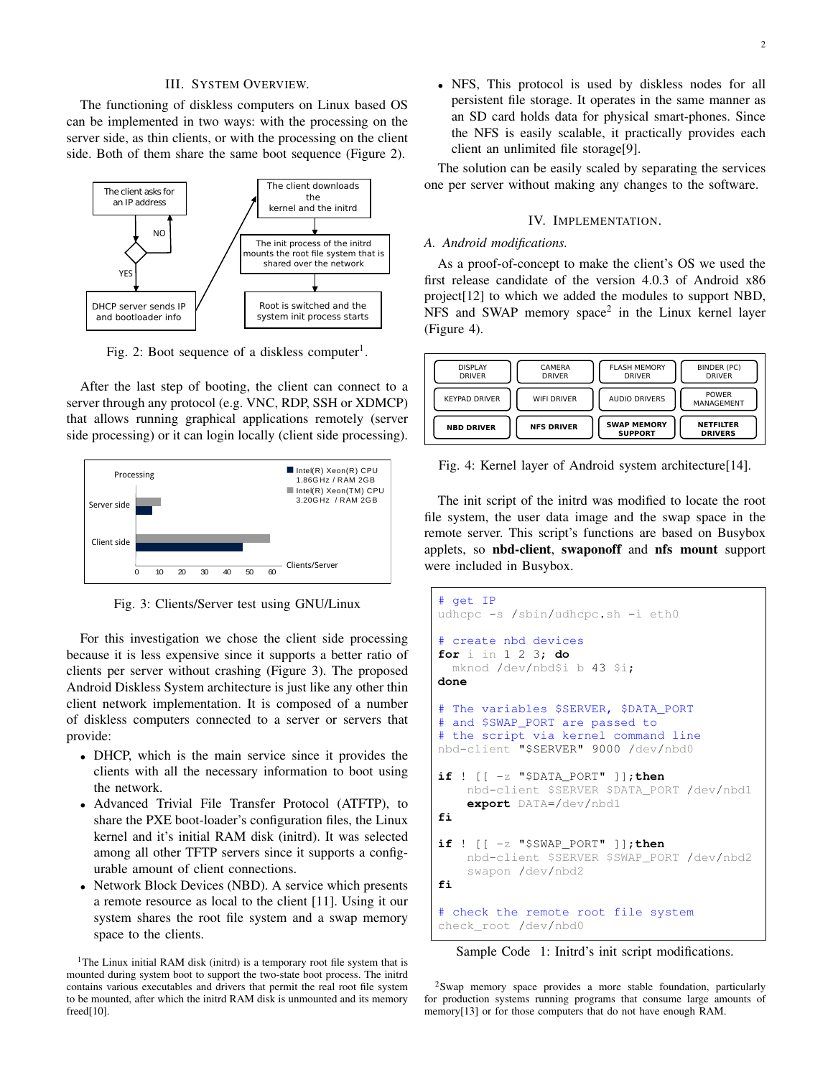## III. SYSTEM OVERVIEW.

The functioning of diskless computers on Linux based OS can be implemented in two ways: with the processing on the server side, as thin clients, or with the processing on the client side. Both of them share the same boot sequence (Figure 2).



Fig. 2: Boot sequence of a diskless computer<sup>1</sup>.

After the last step of booting, the client can connect to a server through any protocol (e.g. VNC, RDP, SSH or XDMCP) that allows running graphical applications remotely (server side processing) or it can login locally (client side processing).



Fig. 3: Clients/Server test using GNU/Linux

For this investigation we chose the client side processing because it is less expensive since it supports a better ratio of clients per server without crashing (Figure 3). The proposed Android Diskless System architecture is just like any other thin client network implementation. It is composed of a number of diskless computers connected to a server or servers that provide:

- DHCP, which is the main service since it provides the clients with all the necessary information to boot using the network.
- Advanced Trivial File Transfer Protocol (ATFTP), to share the PXE boot-loader's configuration files, the Linux kernel and it's initial RAM disk (initrd). It was selected among all other TFTP servers since it supports a configurable amount of client connections.
- Network Block Devices (NBD). A service which presents a remote resource as local to the client [11]. Using it our system shares the root file system and a swap memory space to the clients.

<sup>1</sup>The Linux initial RAM disk (initrd) is a temporary root file system that is mounted during system boot to support the two-state boot process. The initrd contains various executables and drivers that permit the real root file system to be mounted, after which the initrd RAM disk is unmounted and its memory freed[10].

• NFS, This protocol is used by diskless nodes for all persistent file storage. It operates in the same manner as an SD card holds data for physical smart-phones. Since the NFS is easily scalable, it practically provides each client an unlimited file storage[9].

The solution can be easily scaled by separating the services one per server without making any changes to the software.

## IV. IMPLEMENTATION.

#### *A. Android modifications.*

As a proof-of-concept to make the client's OS we used the first release candidate of the version 4.0.3 of Android x86 project[12] to which we added the modules to support NBD, NFS and SWAP memory space<sup>2</sup> in the Linux kernel layer (Figure 4).



Fig. 4: Kernel layer of Android system architecture [14].

The init script of the initrd was modified to locate the root file system, the user data image and the swap space in the remote server. This script's functions are based on Busybox applets, so nbd-client, swaponoff and nfs mount support were included in Busybox.

```
# get IP
udhcpc -s /sbin/udhcpc.sh -i eth0
# create nbd devices
for i in 1 2 3; do
  mknod /dev/nbd$i b 43 $i;
done
# The variables $SERVER, $DATA_PORT
# and $SWAP_PORT are passed to
# the script via kernel command line
nbd-client "$SERVER" 9000 /dev/nbd0
if ! [[ -z "$DATA_PORT" ]];then
    nbd-client $SERVER $DATA_PORT /dev/nbd1
    export DATA=/dev/nbd1
fi
if ! [[ -z "$SWAP_PORT" ]];then
    nbd-client $SERVER $SWAP_PORT /dev/nbd2
    swapon /dev/nbd2
fi
# check the remote root file system
check_root /dev/nbd0
```
Sample Code 1: Initrd's init script modifications.

<sup>2</sup>Swap memory space provides a more stable foundation, particularly for production systems running programs that consume large amounts of memory[13] or for those computers that do not have enough RAM.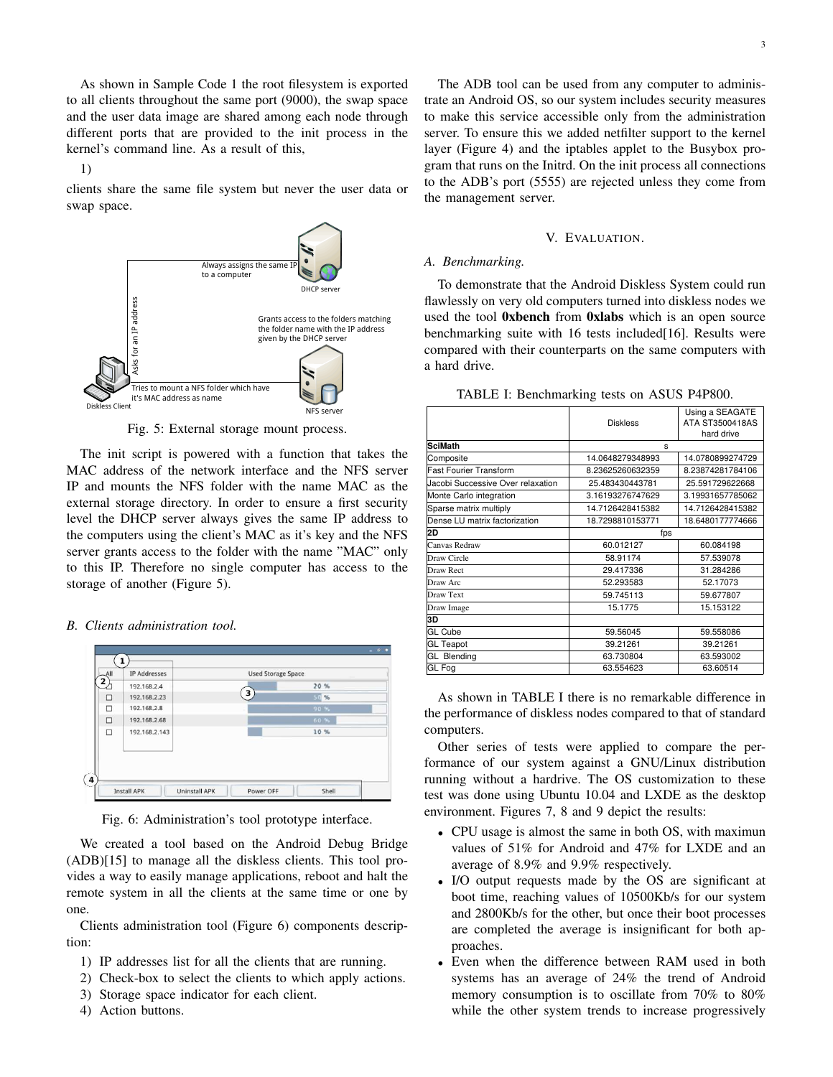As shown in Sample Code 1 the root filesystem is exported to all clients throughout the same port (9000), the swap space and the user data image are shared among each node through different ports that are provided to the init process in the kernel's command line. As a result of this,

1)

clients share the same file system but never the user data or swap space.



Fig. 5: External storage mount process.

The init script is powered with a function that takes the MAC address of the network interface and the NFS server IP and mounts the NFS folder with the name MAC as the external storage directory. In order to ensure a first security level the DHCP server always gives the same IP address to the computers using the client's MAC as it's key and the NFS server grants access to the folder with the name "MAC" only to this IP. Therefore no single computer has access to the storage of another (Figure 5).

# *B. Clients administration tool.*



Fig. 6: Administration's tool prototype interface.

We created a tool based on the Android Debug Bridge (ADB)[15] to manage all the diskless clients. This tool provides a way to easily manage applications, reboot and halt the remote system in all the clients at the same time or one by one.

Clients administration tool (Figure 6) components description:

- 1) IP addresses list for all the clients that are running.
- 2) Check-box to select the clients to which apply actions.
- 3) Storage space indicator for each client.
- 4) Action buttons.

The ADB tool can be used from any computer to administrate an Android OS, so our system includes security measures to make this service accessible only from the administration server. To ensure this we added netfilter support to the kernel layer (Figure 4) and the iptables applet to the Busybox program that runs on the Initrd. On the init process all connections to the ADB's port (5555) are rejected unless they come from the management server.

## V. EVALUATION.

## *A. Benchmarking.*

To demonstrate that the Android Diskless System could run flawlessly on very old computers turned into diskless nodes we used the tool 0xbench from 0xlabs which is an open source benchmarking suite with 16 tests included[16]. Results were compared with their counterparts on the same computers with a hard drive.

| TABLE I: Benchmarking tests on ASUS P4P800. |  |  |  |  |
|---------------------------------------------|--|--|--|--|
|---------------------------------------------|--|--|--|--|

|                                   | <b>Diskless</b>  | Using a SEAGATE<br>ATA ST3500418AS<br>hard drive |  |
|-----------------------------------|------------------|--------------------------------------------------|--|
| <b>SciMath</b>                    | s                |                                                  |  |
| Composite                         | 14.0648279348993 | 14.0780899274729                                 |  |
| <b>Fast Fourier Transform</b>     | 8.23625260632359 | 8.23874281784106                                 |  |
| Jacobi Successive Over relaxation | 25.483430443781  | 25.591729622668                                  |  |
| Monte Carlo integration           | 3.16193276747629 | 3.19931657785062                                 |  |
| Sparse matrix multiply            | 14.7126428415382 | 14.7126428415382                                 |  |
| Dense LU matrix factorization     | 18.7298810153771 | 18.6480177774666                                 |  |
| 2D                                | fps              |                                                  |  |
| Canvas Redraw                     | 60.012127        | 60.084198                                        |  |
| Draw Circle                       | 58.91174         | 57.539078                                        |  |
| Draw Rect                         | 29.417336        | 31.284286                                        |  |
| Draw Arc                          | 52.293583        | 52.17073                                         |  |
| Draw Text                         | 59.745113        | 59.677807                                        |  |
| Draw Image                        | 15.1775          | 15.153122                                        |  |
| 3D                                |                  |                                                  |  |
| GL Cube                           | 59.56045         | 59.558086                                        |  |
| <b>GL Teapot</b>                  | 39.21261         | 39.21261                                         |  |
| <b>GL Blending</b>                | 63.730804        | 63.593002                                        |  |
| GL Fog                            | 63.554623        | 63.60514                                         |  |
|                                   |                  |                                                  |  |

As shown in TABLE I there is no remarkable difference in the performance of diskless nodes compared to that of standard computers.

Other series of tests were applied to compare the performance of our system against a GNU/Linux distribution running without a hardrive. The OS customization to these test was done using Ubuntu 10.04 and LXDE as the desktop environment. Figures 7, 8 and 9 depict the results:

- CPU usage is almost the same in both OS, with maximun values of 51% for Android and 47% for LXDE and an average of 8.9% and 9.9% respectively.
- I/O output requests made by the OS are significant at boot time, reaching values of 10500Kb/s for our system and 2800Kb/s for the other, but once their boot processes are completed the average is insignificant for both approaches.
- Even when the difference between RAM used in both systems has an average of 24% the trend of Android memory consumption is to oscillate from 70% to 80% while the other system trends to increase progressively